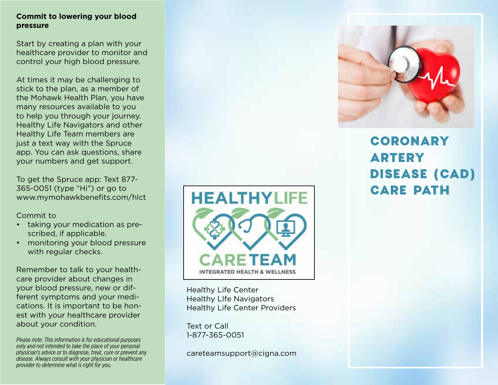# **Commit to lowering your blood pressure**

Start by creating a plan with your healthcare provider to monitor and control your high blood pressure.

At times it may be challenging to stick to the plan, as a member of the Mohawk Health Plan, you have many resources available to you to help you through your journey. Healthy Life Navigators and other Healthy Life Team members are just a text way with the Spruce app. You can ask questions, share your numbers and get support.

To get the Spruce app: Text 877- 365-0051 (type "Hi") or go to www.mymohawkbenefits.com/hlct

Commit to

- taking your medication as prescribed, if applicable.
- monitoring your blood pressure with regular checks.

Remember to talk to your healthcare provider about changes in your blood pressure, new or different symptoms and your medications. It is important to be honest with your healthcare provider about your condition.

*Please note: This information is for educational purposes only and not intended to take the place of your personal physician's advice or to diagnose, treat, cure or prevent any disease. Always consult with your physician or healthcare provider to determine what is right for you.*



Healthy Life Center Healthy LIfe Navigators Healthy Life Center Providers

Text or Call 1-877-365-0051

careteamsupport@cigna.com



# CORONARY ARTERY DISEASE (CAD) CARE PATH